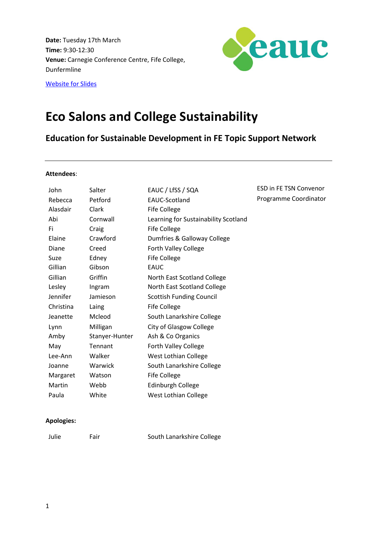**Date:** Tuesday 17th March **Time:** 9:30-12:30 **Venue:** Carnegie Conference Centre, Fife College, Dunfermline



[Website for Slides](http://www.eauc.org.uk/shop/mms_single_event.php?event_id=4113)

## **Eco Salons and College Sustainability**

**Education for Sustainable Development in FE Topic Support Network**

## **Attendees**:

| John      | Salter         | EAUC / LfSS / SQA                    | <b>ESD in FE TSN Convenor</b> |
|-----------|----------------|--------------------------------------|-------------------------------|
|           |                |                                      | Programme Coordinator         |
| Rebecca   | Petford        | EAUC-Scotland                        |                               |
| Alasdair  | Clark          | Fife College                         |                               |
| Abi       | Cornwall       | Learning for Sustainability Scotland |                               |
| Fi.       | Craig          | Fife College                         |                               |
| Elaine    | Crawford       | Dumfries & Galloway College          |                               |
| Diane     | Creed          | Forth Valley College                 |                               |
| Suze      | Edney          | Fife College                         |                               |
| Gillian   | Gibson         | <b>EAUC</b>                          |                               |
| Gillian   | Griffin        | North East Scotland College          |                               |
| Lesley    | Ingram         | North East Scotland College          |                               |
| Jennifer  | Jamieson       | <b>Scottish Funding Council</b>      |                               |
| Christina | Laing          | Fife College                         |                               |
| Jeanette  | Mcleod         | South Lanarkshire College            |                               |
| Lynn      | Milligan       | City of Glasgow College              |                               |
| Amby      | Stanyer-Hunter | Ash & Co Organics                    |                               |
| May       | Tennant        | Forth Valley College                 |                               |
| Lee-Ann   | Walker         | West Lothian College                 |                               |
| Joanne    | Warwick        | South Lanarkshire College            |                               |
| Margaret  | Watson         | <b>Fife College</b>                  |                               |
| Martin    | Webb           | <b>Edinburgh College</b>             |                               |
| Paula     | White          | West Lothian College                 |                               |
|           |                |                                      |                               |

## **Apologies:**

Julie Fair South Lanarkshire College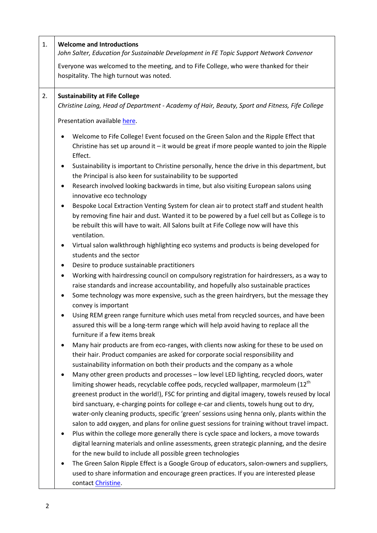| 1. | <b>Welcome and Introductions</b><br>John Salter, Education for Sustainable Development in FE Topic Support Network Convenor                                                                                                                                                                                                                                                                                                                                                                                                                                                                                                                                                                                                                                                                                                                                                                                                                                                                                                                                                                                                                                                                                                                                                                                                                                                                                                                                                                                                                                                                                                                                                                                                                                                                                                                                                                                                                                                            |  |
|----|----------------------------------------------------------------------------------------------------------------------------------------------------------------------------------------------------------------------------------------------------------------------------------------------------------------------------------------------------------------------------------------------------------------------------------------------------------------------------------------------------------------------------------------------------------------------------------------------------------------------------------------------------------------------------------------------------------------------------------------------------------------------------------------------------------------------------------------------------------------------------------------------------------------------------------------------------------------------------------------------------------------------------------------------------------------------------------------------------------------------------------------------------------------------------------------------------------------------------------------------------------------------------------------------------------------------------------------------------------------------------------------------------------------------------------------------------------------------------------------------------------------------------------------------------------------------------------------------------------------------------------------------------------------------------------------------------------------------------------------------------------------------------------------------------------------------------------------------------------------------------------------------------------------------------------------------------------------------------------------|--|
|    | Everyone was welcomed to the meeting, and to Fife College, who were thanked for their                                                                                                                                                                                                                                                                                                                                                                                                                                                                                                                                                                                                                                                                                                                                                                                                                                                                                                                                                                                                                                                                                                                                                                                                                                                                                                                                                                                                                                                                                                                                                                                                                                                                                                                                                                                                                                                                                                  |  |
|    | hospitality. The high turnout was noted.                                                                                                                                                                                                                                                                                                                                                                                                                                                                                                                                                                                                                                                                                                                                                                                                                                                                                                                                                                                                                                                                                                                                                                                                                                                                                                                                                                                                                                                                                                                                                                                                                                                                                                                                                                                                                                                                                                                                               |  |
| 2. | <b>Sustainability at Fife College</b><br>Christine Laing, Head of Department - Academy of Hair, Beauty, Sport and Fitness, Fife College                                                                                                                                                                                                                                                                                                                                                                                                                                                                                                                                                                                                                                                                                                                                                                                                                                                                                                                                                                                                                                                                                                                                                                                                                                                                                                                                                                                                                                                                                                                                                                                                                                                                                                                                                                                                                                                |  |
|    | Presentation available here.                                                                                                                                                                                                                                                                                                                                                                                                                                                                                                                                                                                                                                                                                                                                                                                                                                                                                                                                                                                                                                                                                                                                                                                                                                                                                                                                                                                                                                                                                                                                                                                                                                                                                                                                                                                                                                                                                                                                                           |  |
|    | Welcome to Fife College! Event focused on the Green Salon and the Ripple Effect that<br>Christine has set up around it $-$ it would be great if more people wanted to join the Ripple<br>Effect.<br>Sustainability is important to Christine personally, hence the drive in this department, but<br>٠<br>the Principal is also keen for sustainability to be supported<br>Research involved looking backwards in time, but also visiting European salons using<br>innovative eco technology<br>Bespoke Local Extraction Venting System for clean air to protect staff and student health<br>by removing fine hair and dust. Wanted it to be powered by a fuel cell but as College is to<br>be rebuilt this will have to wait. All Salons built at Fife College now will have this<br>ventilation.<br>Virtual salon walkthrough highlighting eco systems and products is being developed for<br>٠<br>students and the sector<br>Desire to produce sustainable practitioners<br>٠<br>Working with hairdressing council on compulsory registration for hairdressers, as a way to<br>٠<br>raise standards and increase accountability, and hopefully also sustainable practices<br>Some technology was more expensive, such as the green hairdryers, but the message they<br>٠<br>convey is important<br>Using REM green range furniture which uses metal from recycled sources, and have been<br>assured this will be a long-term range which will help avoid having to replace all the<br>furniture if a few items break<br>Many hair products are from eco-ranges, with clients now asking for these to be used on<br>their hair. Product companies are asked for corporate social responsibility and<br>sustainability information on both their products and the company as a whole<br>Many other green products and processes - low level LED lighting, recycled doors, water<br>٠<br>limiting shower heads, recyclable coffee pods, recycled wallpaper, marmoleum (12 <sup>th</sup> |  |
|    | greenest product in the world!), FSC for printing and digital imagery, towels reused by local<br>bird sanctuary, e-charging points for college e-car and clients, towels hung out to dry,<br>water-only cleaning products, specific 'green' sessions using henna only, plants within the<br>salon to add oxygen, and plans for online guest sessions for training without travel impact.<br>Plus within the college more generally there is cycle space and lockers, a move towards<br>digital learning materials and online assessments, green strategic planning, and the desire<br>for the new build to include all possible green technologies<br>The Green Salon Ripple Effect is a Google Group of educators, salon-owners and suppliers,<br>used to share information and encourage green practices. If you are interested please<br>contact Christine.                                                                                                                                                                                                                                                                                                                                                                                                                                                                                                                                                                                                                                                                                                                                                                                                                                                                                                                                                                                                                                                                                                                         |  |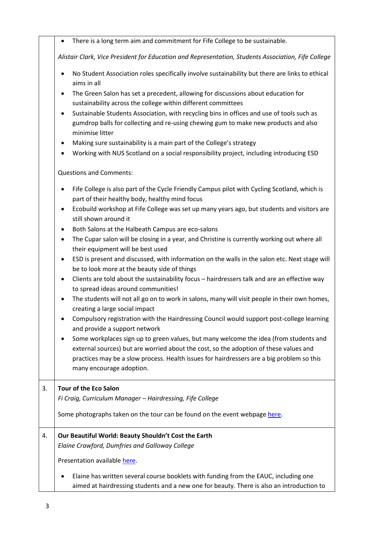There is a long term aim and commitment for Fife College to be sustainable.

*Alistair Clark, Vice President for Education and Representation, Students Association, Fife College*

- No Student Association roles specifically involve sustainability but there are links to ethical aims in all
- The Green Salon has set a precedent, allowing for discussions about education for sustainability across the college within different committees
- Sustainable Students Association, with recycling bins in offices and use of tools such as gumdrop balls for collecting and re-using chewing gum to make new products and also minimise litter
- Making sure sustainability is a main part of the College's strategy
- Working with NUS Scotland on a social responsibility project, including introducing ESD

Questions and Comments:

- Fife College is also part of the Cycle Friendly Campus pilot with Cycling Scotland, which is part of their healthy body, healthy mind focus
- Ecobuild workshop at Fife College was set up many years ago, but students and visitors are still shown around it
- Both Salons at the Halbeath Campus are eco-salons
- The Cupar salon will be closing in a year, and Christine is currently working out where all their equipment will be best used
- ESD is present and discussed, with information on the walls in the salon etc. Next stage will be to look more at the beauty side of things
- Clients are told about the sustainability focus hairdressers talk and are an effective way to spread ideas around communities!
- The students will not all go on to work in salons, many will visit people in their own homes, creating a large social impact
- Compulsory registration with the Hairdressing Council would support post-college learning and provide a support network
- Some workplaces sign up to green values, but many welcome the idea (from students and external sources) but are worried about the cost, so the adoption of these values and practices may be a slow process. Health issues for hairdressers are a big problem so this many encourage adoption.

## 3. **Tour of the Eco Salon**

*Fi Craig, Curriculum Manager – Hairdressing, Fife College*

Some photographs taken on the tour can be found on the event webpage [here.](http://www.eauc.org.uk/shop/mms_single_event.php?event_id=4113)

4. **Our Beautiful World: Beauty Shouldn't Cost the Earth**

*Elaine Crawford, Dumfries and Galloway College*

Presentation availabl[e here.](http://www.eauc.org.uk/shop/mms_single_event.php?event_id=4113)

 Elaine has written several course booklets with funding from the EAUC, including one aimed at hairdressing students and a new one for beauty. There is also an introduction to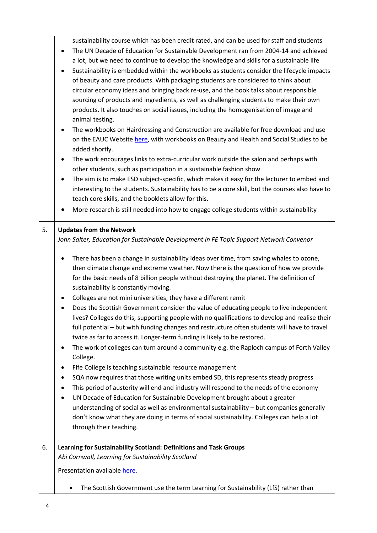|    | sustainability course which has been credit rated, and can be used for staff and students<br>The UN Decade of Education for Sustainable Development ran from 2004-14 and achieved<br>$\bullet$<br>a lot, but we need to continue to develop the knowledge and skills for a sustainable life<br>Sustainability is embedded within the workbooks as students consider the lifecycle impacts<br>$\bullet$<br>of beauty and care products. With packaging students are considered to think about<br>circular economy ideas and bringing back re-use, and the book talks about responsible<br>sourcing of products and ingredients, as well as challenging students to make their own<br>products. It also touches on social issues, including the homogenisation of image and<br>animal testing.<br>The workbooks on Hairdressing and Construction are available for free download and use<br>٠<br>on the EAUC Website here, with workbooks on Beauty and Health and Social Studies to be<br>added shortly.<br>The work encourages links to extra-curricular work outside the salon and perhaps with<br>٠<br>other students, such as participation in a sustainable fashion show<br>The aim is to make ESD subject-specific, which makes it easy for the lecturer to embed and<br>٠<br>interesting to the students. Sustainability has to be a core skill, but the courses also have to<br>teach core skills, and the booklets allow for this.<br>More research is still needed into how to engage college students within sustainability |
|----|---------------------------------------------------------------------------------------------------------------------------------------------------------------------------------------------------------------------------------------------------------------------------------------------------------------------------------------------------------------------------------------------------------------------------------------------------------------------------------------------------------------------------------------------------------------------------------------------------------------------------------------------------------------------------------------------------------------------------------------------------------------------------------------------------------------------------------------------------------------------------------------------------------------------------------------------------------------------------------------------------------------------------------------------------------------------------------------------------------------------------------------------------------------------------------------------------------------------------------------------------------------------------------------------------------------------------------------------------------------------------------------------------------------------------------------------------------------------------------------------------------------------------------------|
| 5. | <b>Updates from the Network</b>                                                                                                                                                                                                                                                                                                                                                                                                                                                                                                                                                                                                                                                                                                                                                                                                                                                                                                                                                                                                                                                                                                                                                                                                                                                                                                                                                                                                                                                                                                       |
|    | John Salter, Education for Sustainable Development in FE Topic Support Network Convenor                                                                                                                                                                                                                                                                                                                                                                                                                                                                                                                                                                                                                                                                                                                                                                                                                                                                                                                                                                                                                                                                                                                                                                                                                                                                                                                                                                                                                                               |
|    | There has been a change in sustainability ideas over time, from saving whales to ozone,<br>٠<br>then climate change and extreme weather. Now there is the question of how we provide<br>for the basic needs of 8 billion people without destroying the planet. The definition of<br>sustainability is constantly moving.<br>Colleges are not mini universities, they have a different remit<br>٠<br>Does the Scottish Government consider the value of educating people to live independent<br>lives? Colleges do this, supporting people with no qualifications to develop and realise their<br>full potential - but with funding changes and restructure often students will have to travel<br>twice as far to access it. Longer-term funding is likely to be restored.<br>The work of colleges can turn around a community e.g. the Raploch campus of Forth Valley<br>٠<br>College.<br>Fife College is teaching sustainable resource management<br>٠<br>SQA now requires that those writing units embed SD, this represents steady progress<br>٠<br>This period of austerity will end and industry will respond to the needs of the economy<br>٠<br>UN Decade of Education for Sustainable Development brought about a greater<br>$\bullet$<br>understanding of social as well as environmental sustainability - but companies generally<br>don't know what they are doing in terms of social sustainability. Colleges can help a lot<br>through their teaching.                                                                   |
| 6. | Learning for Sustainability Scotland: Definitions and Task Groups                                                                                                                                                                                                                                                                                                                                                                                                                                                                                                                                                                                                                                                                                                                                                                                                                                                                                                                                                                                                                                                                                                                                                                                                                                                                                                                                                                                                                                                                     |
|    | Abi Cornwall, Learning for Sustainability Scotland                                                                                                                                                                                                                                                                                                                                                                                                                                                                                                                                                                                                                                                                                                                                                                                                                                                                                                                                                                                                                                                                                                                                                                                                                                                                                                                                                                                                                                                                                    |
|    | Presentation available here.                                                                                                                                                                                                                                                                                                                                                                                                                                                                                                                                                                                                                                                                                                                                                                                                                                                                                                                                                                                                                                                                                                                                                                                                                                                                                                                                                                                                                                                                                                          |
|    | The Scottish Government use the term Learning for Sustainability (LfS) rather than<br>$\bullet$                                                                                                                                                                                                                                                                                                                                                                                                                                                                                                                                                                                                                                                                                                                                                                                                                                                                                                                                                                                                                                                                                                                                                                                                                                                                                                                                                                                                                                       |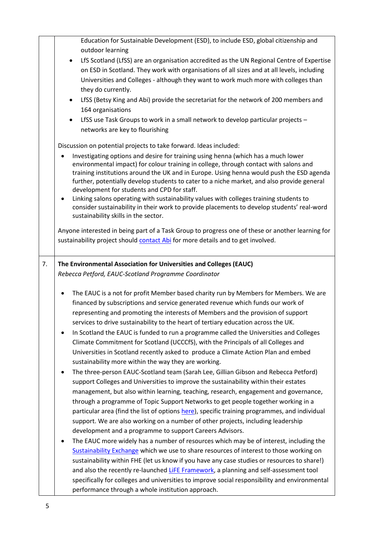|    | Education for Sustainable Development (ESD), to include ESD, global citizenship and                                                                                                                                                                                                                                                                                                                                                                                                                                                                                                                                                                                                                                                                                                                                                                                                                                                                                                                                                                                                                                                                                                                                                                                                                                                                                                                                                                                                                                                                                                                                                                                                                                                                                       |
|----|---------------------------------------------------------------------------------------------------------------------------------------------------------------------------------------------------------------------------------------------------------------------------------------------------------------------------------------------------------------------------------------------------------------------------------------------------------------------------------------------------------------------------------------------------------------------------------------------------------------------------------------------------------------------------------------------------------------------------------------------------------------------------------------------------------------------------------------------------------------------------------------------------------------------------------------------------------------------------------------------------------------------------------------------------------------------------------------------------------------------------------------------------------------------------------------------------------------------------------------------------------------------------------------------------------------------------------------------------------------------------------------------------------------------------------------------------------------------------------------------------------------------------------------------------------------------------------------------------------------------------------------------------------------------------------------------------------------------------------------------------------------------------|
|    | outdoor learning                                                                                                                                                                                                                                                                                                                                                                                                                                                                                                                                                                                                                                                                                                                                                                                                                                                                                                                                                                                                                                                                                                                                                                                                                                                                                                                                                                                                                                                                                                                                                                                                                                                                                                                                                          |
|    | LfS Scotland (LfSS) are an organisation accredited as the UN Regional Centre of Expertise<br>$\bullet$                                                                                                                                                                                                                                                                                                                                                                                                                                                                                                                                                                                                                                                                                                                                                                                                                                                                                                                                                                                                                                                                                                                                                                                                                                                                                                                                                                                                                                                                                                                                                                                                                                                                    |
|    | on ESD in Scotland. They work with organisations of all sizes and at all levels, including                                                                                                                                                                                                                                                                                                                                                                                                                                                                                                                                                                                                                                                                                                                                                                                                                                                                                                                                                                                                                                                                                                                                                                                                                                                                                                                                                                                                                                                                                                                                                                                                                                                                                |
|    | Universities and Colleges - although they want to work much more with colleges than                                                                                                                                                                                                                                                                                                                                                                                                                                                                                                                                                                                                                                                                                                                                                                                                                                                                                                                                                                                                                                                                                                                                                                                                                                                                                                                                                                                                                                                                                                                                                                                                                                                                                       |
|    | they do currently.                                                                                                                                                                                                                                                                                                                                                                                                                                                                                                                                                                                                                                                                                                                                                                                                                                                                                                                                                                                                                                                                                                                                                                                                                                                                                                                                                                                                                                                                                                                                                                                                                                                                                                                                                        |
|    | LfSS (Betsy King and Abi) provide the secretariat for the network of 200 members and<br>$\bullet$                                                                                                                                                                                                                                                                                                                                                                                                                                                                                                                                                                                                                                                                                                                                                                                                                                                                                                                                                                                                                                                                                                                                                                                                                                                                                                                                                                                                                                                                                                                                                                                                                                                                         |
|    | 164 organisations                                                                                                                                                                                                                                                                                                                                                                                                                                                                                                                                                                                                                                                                                                                                                                                                                                                                                                                                                                                                                                                                                                                                                                                                                                                                                                                                                                                                                                                                                                                                                                                                                                                                                                                                                         |
|    | LfSS use Task Groups to work in a small network to develop particular projects -                                                                                                                                                                                                                                                                                                                                                                                                                                                                                                                                                                                                                                                                                                                                                                                                                                                                                                                                                                                                                                                                                                                                                                                                                                                                                                                                                                                                                                                                                                                                                                                                                                                                                          |
|    | networks are key to flourishing                                                                                                                                                                                                                                                                                                                                                                                                                                                                                                                                                                                                                                                                                                                                                                                                                                                                                                                                                                                                                                                                                                                                                                                                                                                                                                                                                                                                                                                                                                                                                                                                                                                                                                                                           |
|    |                                                                                                                                                                                                                                                                                                                                                                                                                                                                                                                                                                                                                                                                                                                                                                                                                                                                                                                                                                                                                                                                                                                                                                                                                                                                                                                                                                                                                                                                                                                                                                                                                                                                                                                                                                           |
|    | Discussion on potential projects to take forward. Ideas included:                                                                                                                                                                                                                                                                                                                                                                                                                                                                                                                                                                                                                                                                                                                                                                                                                                                                                                                                                                                                                                                                                                                                                                                                                                                                                                                                                                                                                                                                                                                                                                                                                                                                                                         |
|    | Investigating options and desire for training using henna (which has a much lower<br>$\bullet$<br>environmental impact) for colour training in college, through contact with salons and<br>training institutions around the UK and in Europe. Using henna would push the ESD agenda<br>further, potentially develop students to cater to a niche market, and also provide general<br>development for students and CPD for staff.                                                                                                                                                                                                                                                                                                                                                                                                                                                                                                                                                                                                                                                                                                                                                                                                                                                                                                                                                                                                                                                                                                                                                                                                                                                                                                                                          |
|    | Linking salons operating with sustainability values with colleges training students to<br>٠<br>consider sustainability in their work to provide placements to develop students' real-word<br>sustainability skills in the sector.                                                                                                                                                                                                                                                                                                                                                                                                                                                                                                                                                                                                                                                                                                                                                                                                                                                                                                                                                                                                                                                                                                                                                                                                                                                                                                                                                                                                                                                                                                                                         |
|    | Anyone interested in being part of a Task Group to progress one of these or another learning for                                                                                                                                                                                                                                                                                                                                                                                                                                                                                                                                                                                                                                                                                                                                                                                                                                                                                                                                                                                                                                                                                                                                                                                                                                                                                                                                                                                                                                                                                                                                                                                                                                                                          |
|    | sustainability project should contact Abi for more details and to get involved.                                                                                                                                                                                                                                                                                                                                                                                                                                                                                                                                                                                                                                                                                                                                                                                                                                                                                                                                                                                                                                                                                                                                                                                                                                                                                                                                                                                                                                                                                                                                                                                                                                                                                           |
|    |                                                                                                                                                                                                                                                                                                                                                                                                                                                                                                                                                                                                                                                                                                                                                                                                                                                                                                                                                                                                                                                                                                                                                                                                                                                                                                                                                                                                                                                                                                                                                                                                                                                                                                                                                                           |
| 7. | The Environmental Association for Universities and Colleges (EAUC)<br>Rebecca Petford, EAUC-Scotland Programme Coordinator                                                                                                                                                                                                                                                                                                                                                                                                                                                                                                                                                                                                                                                                                                                                                                                                                                                                                                                                                                                                                                                                                                                                                                                                                                                                                                                                                                                                                                                                                                                                                                                                                                                |
|    | The EAUC is a not for profit Member based charity run by Members for Members. We are<br>financed by subscriptions and service generated revenue which funds our work of<br>representing and promoting the interests of Members and the provision of support<br>services to drive sustainability to the heart of tertiary education across the UK.<br>In Scotland the EAUC is funded to run a programme called the Universities and Colleges<br>Climate Commitment for Scotland (UCCCfS), with the Principals of all Colleges and<br>Universities in Scotland recently asked to produce a Climate Action Plan and embed<br>sustainability more within the way they are working.<br>The three-person EAUC-Scotland team (Sarah Lee, Gillian Gibson and Rebecca Petford)<br>support Colleges and Universities to improve the sustainability within their estates<br>management, but also within learning, teaching, research, engagement and governance,<br>through a programme of Topic Support Networks to get people together working in a<br>particular area (find the list of options here), specific training programmes, and individual<br>support. We are also working on a number of other projects, including leadership<br>development and a programme to support Careers Advisors.<br>The EAUC more widely has a number of resources which may be of interest, including the<br>Sustainability Exchange which we use to share resources of interest to those working on<br>sustainability within FHE (let us know if you have any case studies or resources to share!)<br>and also the recently re-launched LiFE Framework, a planning and self-assessment tool<br>specifically for colleges and universities to improve social responsibility and environmental |